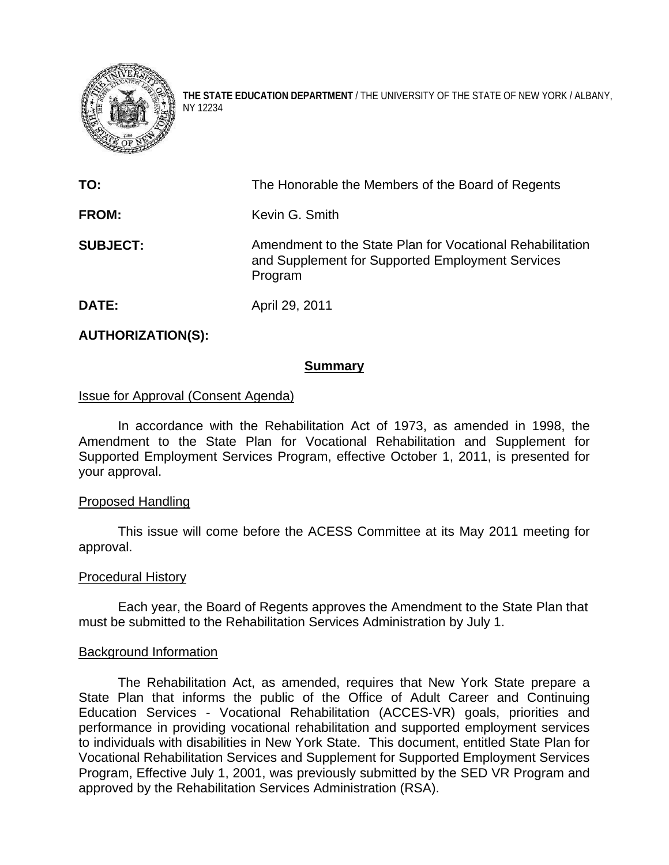

**THE STATE EDUCATION DEPARTMENT** / THE UNIVERSITY OF THE STATE OF NEW YORK / ALBANY, NY 12234

| TO:             | The Honorable the Members of the Board of Regents                                                                        |
|-----------------|--------------------------------------------------------------------------------------------------------------------------|
| <b>FROM:</b>    | Kevin G. Smith                                                                                                           |
| <b>SUBJECT:</b> | Amendment to the State Plan for Vocational Rehabilitation<br>and Supplement for Supported Employment Services<br>Program |
| DATE:           | April 29, 2011                                                                                                           |

# **AUTHORIZATION(S):**

### **Summary**

## Issue for Approval (Consent Agenda)

In accordance with the Rehabilitation Act of 1973, as amended in 1998, the Amendment to the State Plan for Vocational Rehabilitation and Supplement for Supported Employment Services Program, effective October 1, 2011, is presented for your approval.

#### Proposed Handling

This issue will come before the ACESS Committee at its May 2011 meeting for approval.

#### Procedural History

Each year, the Board of Regents approves the Amendment to the State Plan that must be submitted to the Rehabilitation Services Administration by July 1.

#### Background Information

The Rehabilitation Act, as amended, requires that New York State prepare a State Plan that informs the public of the Office of Adult Career and Continuing Education Services - Vocational Rehabilitation (ACCES-VR) goals, priorities and performance in providing vocational rehabilitation and supported employment services to individuals with disabilities in New York State. This document, entitled State Plan for Vocational Rehabilitation Services and Supplement for Supported Employment Services Program, Effective July 1, 2001, was previously submitted by the SED VR Program and approved by the Rehabilitation Services Administration (RSA).